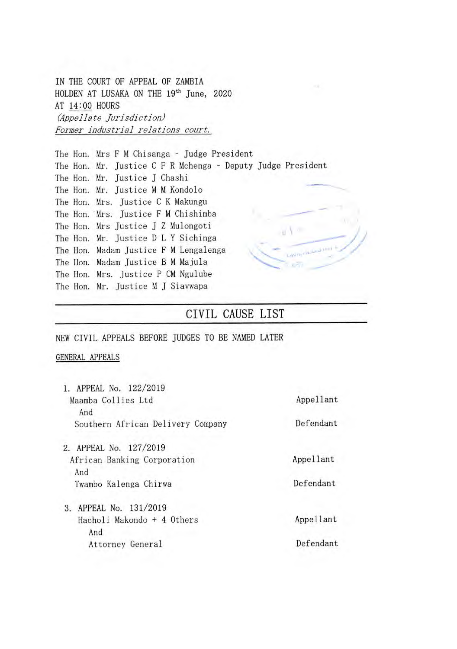IN THE COURT OF APPEAL OF ZAMBIA HOLDEN AT LUSAKA ON THE **191h** June, 2020 AT 14:00 HOURS *(Appellate jurisdiction) Former industrial relations court.* 

The Hon. Mrs F M Chisanga - Judge President The Hon. Mr. Justice C F R Mchenga - Deputy Judge President The Hon. Mr. Justice J Chashi The Hon. Mr. Justice M M Kondolo The Hon. Mrs. Justice C K Makungu The Hon. Mrs. Justice F M Chishimba The Hon. Mrs Justice J Z Mulongoti u V -The Hon. Mr. Justice D L Y Sichinga The Hon. Madam Justice F M Lengalenga The Hon. Madam Justice B M Majula The Hon. Mrs. Justice P CM Ngulube The Hon. Mr. Justice M J Siavwapa

## CIVIL CAUSE LIST

#### NEW CIVIL APPEALS BEFORE JUDGES TO BE NAMED LATER

#### GENERAL APPEALS

| 1. APPEAL No. 122/2019            |           |
|-----------------------------------|-----------|
| Maamba Collies Ltd                | Appellant |
| And                               | Defendant |
| Southern African Delivery Company |           |
| 2. APPEAL No. 127/2019            |           |
| African Banking Corporation       | Appellant |
| And                               |           |
| Twambo Kalenga Chirwa             | Defendant |
| 3. APPEAL No. 131/2019            |           |
| Hacholi Makondo + 4 Others        | Appellant |
| And                               |           |
| Attorney General                  | Defendant |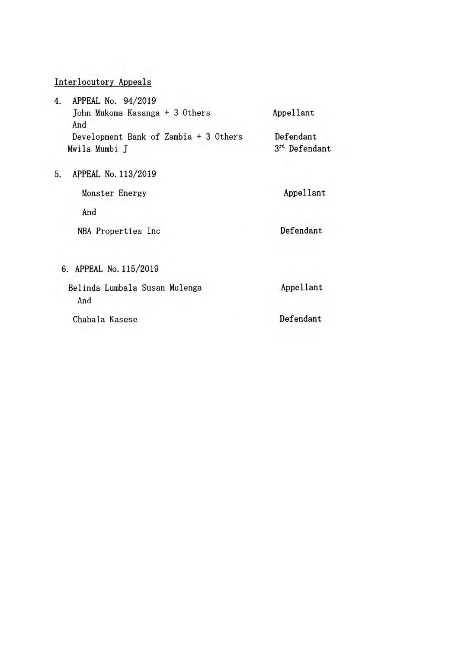### Interlocutory Appeals

| 4.                   | APPEAL No. 94/2019                    |              |
|----------------------|---------------------------------------|--------------|
| And<br>Mwila Mumbi J | John Mukoma Kasanga + 3 Others        | Appellant    |
|                      |                                       |              |
|                      | Development Bank of Zambia + 3 Others | Defendant    |
|                      |                                       | 3rd Defendan |

5. APPEAL No. 113/2019

Monster Energy **Appellant** 

And

NBA Properties Inc **Defendant** 

rt d

6. APPEAL No. 115/2019

Belinda Lumbala Susan Mulenga **Appellant** And

Chabala Kasese Defendant